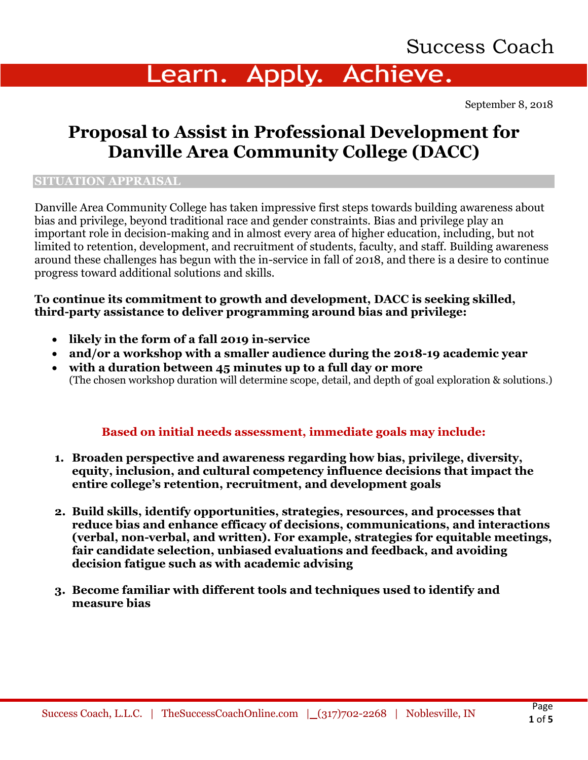# Success Coach

# Learn. Apply. Achieve.

September 8, 2018

## **Proposal to Assist in Professional Development for Danville Area Community College (DACC)**

#### **SITUATION APPRAISAL**

Danville Area Community College has taken impressive first steps towards building awareness about bias and privilege, beyond traditional race and gender constraints. Bias and privilege play an important role in decision-making and in almost every area of higher education, including, but not limited to retention, development, and recruitment of students, faculty, and staff. Building awareness around these challenges has begun with the in-service in fall of 2018, and there is a desire to continue progress toward additional solutions and skills.

### **To continue its commitment to growth and development, DACC is seeking skilled, third-party assistance to deliver programming around bias and privilege:**

- **likely in the form of a fall 2019 in-service**
- **and/or a workshop with a smaller audience during the 2018-19 academic year**
- **with a duration between 45 minutes up to a full day or more** (The chosen workshop duration will determine scope, detail, and depth of goal exploration & solutions.)

### **Based on initial needs assessment, immediate goals may include:**

- **1. Broaden perspective and awareness regarding how bias, privilege, diversity, equity, inclusion, and cultural competency influence decisions that impact the entire college's retention, recruitment, and development goals**
- **2. Build skills, identify opportunities, strategies, resources, and processes that reduce bias and enhance efficacy of decisions, communications, and interactions (verbal, non-verbal, and written). For example, strategies for equitable meetings, fair candidate selection, unbiased evaluations and feedback, and avoiding decision fatigue such as with academic advising**
- **3. Become familiar with different tools and techniques used to identify and measure bias**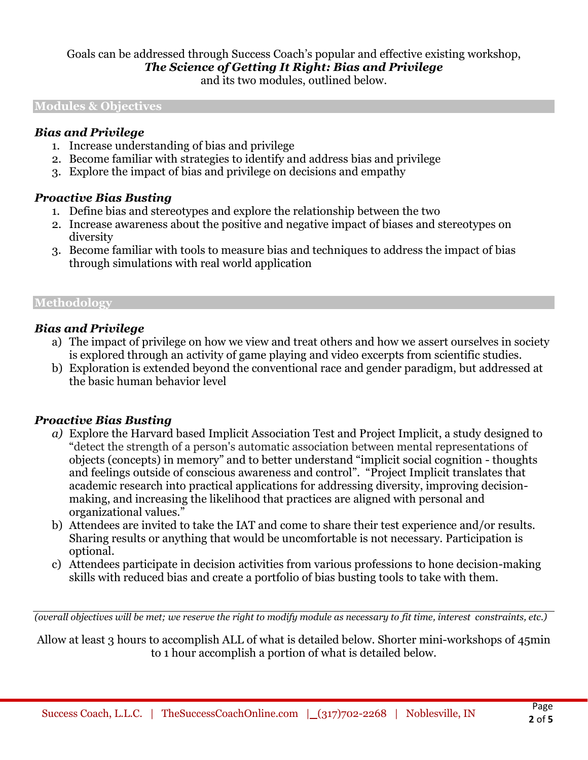## Goals can be addressed through Success Coach's popular and effective existing workshop,

#### *The Science of Getting It Right: Bias and Privilege*

and its two modules, outlined below.

#### **Modules & Objectives**

#### *Bias and Privilege*

- 1. Increase understanding of bias and privilege
- 2. Become familiar with strategies to identify and address bias and privilege
- 3. Explore the impact of bias and privilege on decisions and empathy

#### *Proactive Bias Busting*

- 1. Define bias and stereotypes and explore the relationship between the two
- 2. Increase awareness about the positive and negative impact of biases and stereotypes on diversity
- 3. Become familiar with tools to measure bias and techniques to address the impact of bias through simulations with real world application

#### **Methodology**

#### *Bias and Privilege*

- a) The impact of privilege on how we view and treat others and how we assert ourselves in society is explored through an activity of game playing and video excerpts from scientific studies.
- b) Exploration is extended beyond the conventional race and gender paradigm, but addressed at the basic human behavior level

#### *Proactive Bias Busting*

- *a)* Explore the Harvard based Implicit Association Test and Project Implicit, a study designed to "detect the strength of a person's automatic association between mental representations of objects (concepts) in memory" and to better understand "implicit social cognition - thoughts and feelings outside of conscious awareness and control". "Project Implicit translates that academic research into practical applications for addressing diversity, improving decisionmaking, and increasing the likelihood that practices are aligned with personal and organizational values."
- b) Attendees are invited to take the IAT and come to share their test experience and/or results. Sharing results or anything that would be uncomfortable is not necessary. Participation is optional.
- c) Attendees participate in decision activities from various professions to hone decision-making skills with reduced bias and create a portfolio of bias busting tools to take with them.

*(overall objectives will be met; we reserve the right to modify module as necessary to fit time, interest constraints, etc.)*

Allow at least 3 hours to accomplish ALL of what is detailed below. Shorter mini-workshops of 45min to 1 hour accomplish a portion of what is detailed below.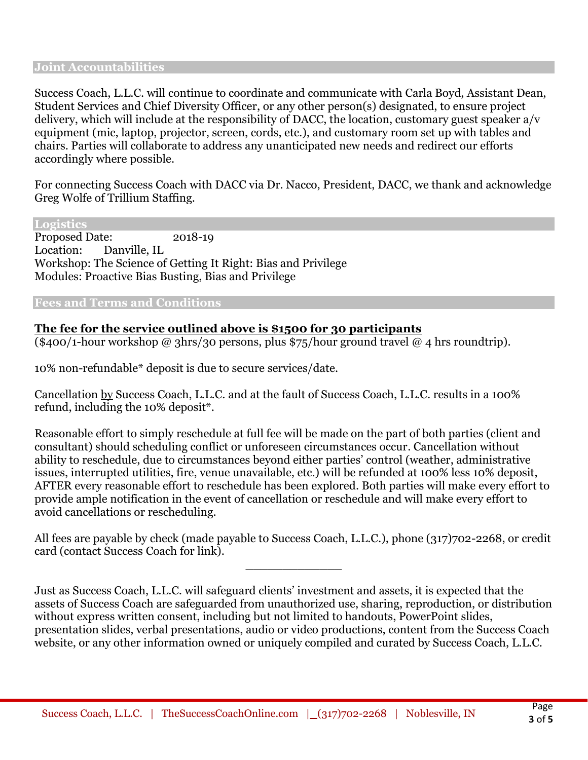#### **Joint Accountabilities**

Success Coach, L.L.C. will continue to coordinate and communicate with Carla Boyd, Assistant Dean, Student Services and Chief Diversity Officer, or any other person(s) designated, to ensure project delivery, which will include at the responsibility of DACC, the location, customary guest speaker a/v equipment (mic, laptop, projector, screen, cords, etc.), and customary room set up with tables and chairs. Parties will collaborate to address any unanticipated new needs and redirect our efforts accordingly where possible.

For connecting Success Coach with DACC via Dr. Nacco, President, DACC, we thank and acknowledge Greg Wolfe of Trillium Staffing.

**Logistics**

Proposed Date: 2018-19 Location: Danville, IL Workshop: The Science of Getting It Right: Bias and Privilege Modules: Proactive Bias Busting, Bias and Privilege

#### **Fees and Terms and Conditions**

### **The fee for the service outlined above is \$1500 for 30 participants**

(\$400/1-hour workshop @ 3hrs/30 persons, plus \$75/hour ground travel @ 4 hrs roundtrip).

10% non-refundable\* deposit is due to secure services/date.

Cancellation by Success Coach, L.L.C. and at the fault of Success Coach, L.L.C. results in a 100% refund, including the 10% deposit\*.

Reasonable effort to simply reschedule at full fee will be made on the part of both parties (client and consultant) should scheduling conflict or unforeseen circumstances occur. Cancellation without ability to reschedule, due to circumstances beyond either parties' control (weather, administrative issues, interrupted utilities, fire, venue unavailable, etc.) will be refunded at 100% less 10% deposit, AFTER every reasonable effort to reschedule has been explored. Both parties will make every effort to provide ample notification in the event of cancellation or reschedule and will make every effort to avoid cancellations or rescheduling.

All fees are payable by check (made payable to Success Coach, L.L.C.), phone (317)702-2268, or credit card (contact Success Coach for link).

\_\_\_\_\_\_\_\_\_\_\_\_\_

Just as Success Coach, L.L.C. will safeguard clients' investment and assets, it is expected that the assets of Success Coach are safeguarded from unauthorized use, sharing, reproduction, or distribution without express written consent, including but not limited to handouts, PowerPoint slides, presentation slides, verbal presentations, audio or video productions, content from the Success Coach website, or any other information owned or uniquely compiled and curated by Success Coach, L.L.C.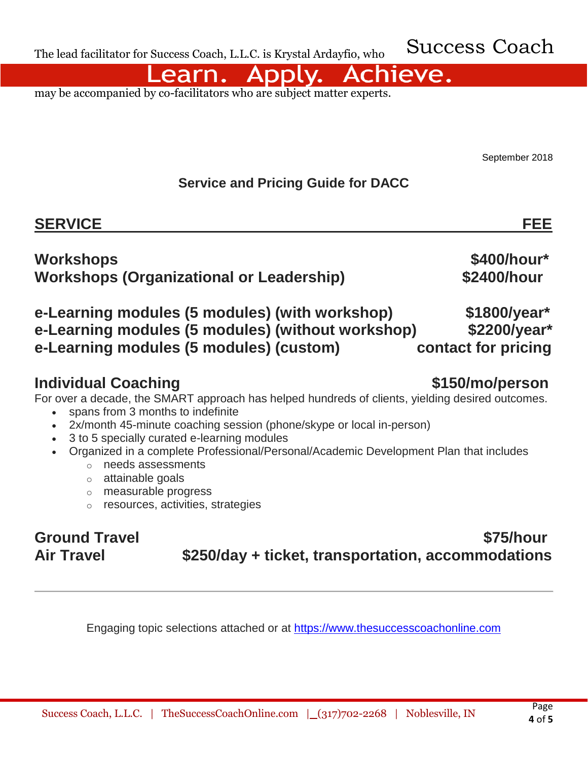Success Coach

Achieve. earn.

may be accompanied by co-facilitators who are subject matter experts.

September 2018

## **Service and Pricing Guide for DACC**

**Workshops \$400/hour\***

**Workshops (Organizational or Leadership) \$2400/hour**

## **e-Learning modules (5 modules) (with workshop) \$1800/year\* e-Learning modules (5 modules) (without workshop) \$2200/year\* e-Learning modules (5 modules) (custom) contact for pricing**

## **Individual Coaching \$150/mo/person**

For over a decade, the SMART approach has helped hundreds of clients, yielding desired outcomes.

- spans from 3 months to indefinite
- 2x/month 45-minute coaching session (phone/skype or local in-person)
- 3 to 5 specially curated e-learning modules
- Organized in a complete Professional/Personal/Academic Development Plan that includes
	- o needs assessments
	- o attainable goals
	- o measurable progress
	- o resources, activities, strategies

## **Ground Travel 875/hour Air Travel \$250/day + ticket, transportation, accommodations**

Engaging topic selections attached or at [https://www.thesuccesscoachonline.com](https://www.thesuccesscoachonline.com/)